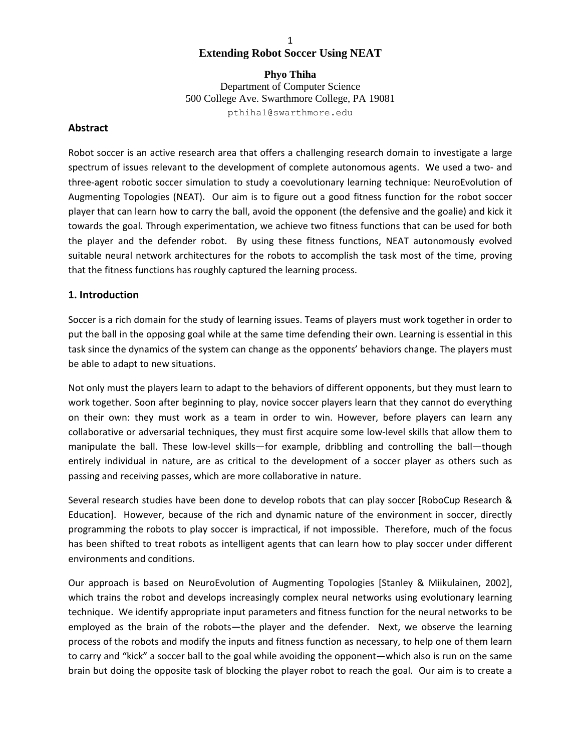## 1 **Extending Robot Soccer Using NEAT**

**Phyo Thiha**  Department of Computer Science 500 College Ave. Swarthmore College, PA 19081 pthiha1@swarthmore.edu

### **Abstract**

Robot soccer is an active research area that offers a challenging research domain to investigate a large spectrum of issues relevant to the development of complete autonomous agents. We used a two- and three‐agent robotic soccer simulation to study a coevolutionary learning technique: NeuroEvolution of Augmenting Topologies (NEAT). Our aim is to figure out a good fitness function for the robot soccer player that can learn how to carry the ball, avoid the opponent (the defensive and the goalie) and kick it towards the goal. Through experimentation, we achieve two fitness functions that can be used for both the player and the defender robot. By using these fitness functions, NEAT autonomously evolved suitable neural network architectures for the robots to accomplish the task most of the time, proving that the fitness functions has roughly captured the learning process.

### **1. Introduction**

Soccer is a rich domain for the study of learning issues. Teams of players must work together in order to put the ball in the opposing goal while at the same time defending their own. Learning is essential in this task since the dynamics of the system can change as the opponents' behaviors change. The players must be able to adapt to new situations.

Not only must the players learn to adapt to the behaviors of different opponents, but they must learn to work together. Soon after beginning to play, novice soccer players learn that they cannot do everything on their own: they must work as a team in order to win. However, before players can learn any collaborative or adversarial techniques, they must first acquire some low‐level skills that allow them to manipulate the ball. These low-level skills—for example, dribbling and controlling the ball—though entirely individual in nature, are as critical to the development of a soccer player as others such as passing and receiving passes, which are more collaborative in nature.

Several research studies have been done to develop robots that can play soccer [RoboCup Research & Education]. However, because of the rich and dynamic nature of the environment in soccer, directly programming the robots to play soccer is impractical, if not impossible. Therefore, much of the focus has been shifted to treat robots as intelligent agents that can learn how to play soccer under different environments and conditions.

Our approach is based on NeuroEvolution of Augmenting Topologies [Stanley & Miikulainen, 2002], which trains the robot and develops increasingly complex neural networks using evolutionary learning technique. We identify appropriate input parameters and fitness function for the neural networks to be employed as the brain of the robots—the player and the defender. Next, we observe the learning process of the robots and modify the inputs and fitness function as necessary, to help one of them learn to carry and "kick" a soccer ball to the goal while avoiding the opponent—which also is run on the same brain but doing the opposite task of blocking the player robot to reach the goal. Our aim is to create a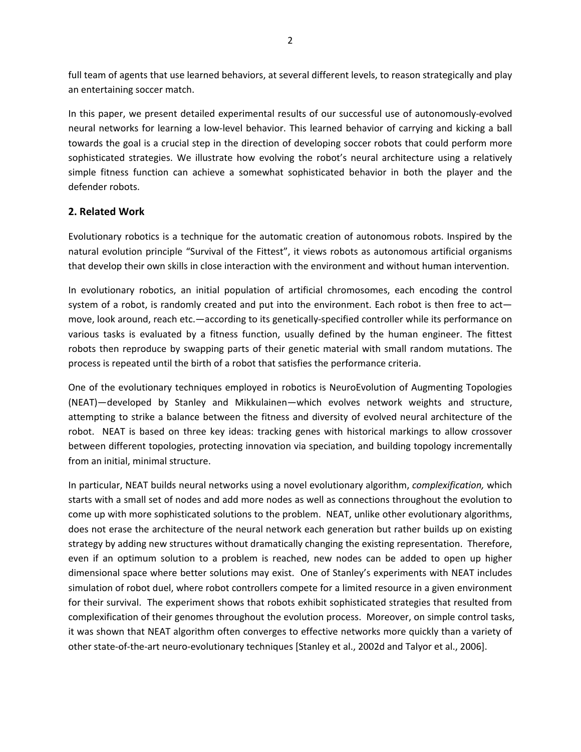full team of agents that use learned behaviors, at several different levels, to reason strategically and play an entertaining soccer match.

In this paper, we present detailed experimental results of our successful use of autonomously‐evolved neural networks for learning a low‐level behavior. This learned behavior of carrying and kicking a ball towards the goal is a crucial step in the direction of developing soccer robots that could perform more sophisticated strategies. We illustrate how evolving the robot's neural architecture using a relatively simple fitness function can achieve a somewhat sophisticated behavior in both the player and the defender robots.

# **2. Related Work**

Evolutionary robotics is a technique for the automatic creation of autonomous robots. Inspired by the natural evolution principle "Survival of the Fittest", it views robots as autonomous artificial organisms that develop their own skills in close interaction with the environment and without human intervention.

In evolutionary robotics, an initial population of artificial chromosomes, each encoding the control system of a robot, is randomly created and put into the environment. Each robot is then free to act move, look around, reach etc.—according to its genetically‐specified controller while its performance on various tasks is evaluated by a fitness function, usually defined by the human engineer. The fittest robots then reproduce by swapping parts of their genetic material with small random mutations. The process is repeated until the birth of a robot that satisfies the performance criteria.

One of the evolutionary techniques employed in robotics is NeuroEvolution of Augmenting Topologies (NEAT)—developed by Stanley and Mikkulainen—which evolves network weights and structure, attempting to strike a balance between the fitness and diversity of evolved neural architecture of the robot. NEAT is based on three key ideas: tracking genes with historical markings to allow crossover between different topologies, protecting innovation via speciation, and building topology incrementally from an initial, minimal structure.

In particular, NEAT builds neural networks using a novel evolutionary algorithm, *complexification,* which starts with a small set of nodes and add more nodes as well as connections throughout the evolution to come up with more sophisticated solutions to the problem. NEAT, unlike other evolutionary algorithms, does not erase the architecture of the neural network each generation but rather builds up on existing strategy by adding new structures without dramatically changing the existing representation. Therefore, even if an optimum solution to a problem is reached, new nodes can be added to open up higher dimensional space where better solutions may exist. One of Stanley's experiments with NEAT includes simulation of robot duel, where robot controllers compete for a limited resource in a given environment for their survival. The experiment shows that robots exhibit sophisticated strategies that resulted from complexification of their genomes throughout the evolution process. Moreover, on simple control tasks, it was shown that NEAT algorithm often converges to effective networks more quickly than a variety of other state‐of‐the‐art neuro‐evolutionary techniques [Stanley et al., 2002d and Talyor et al., 2006].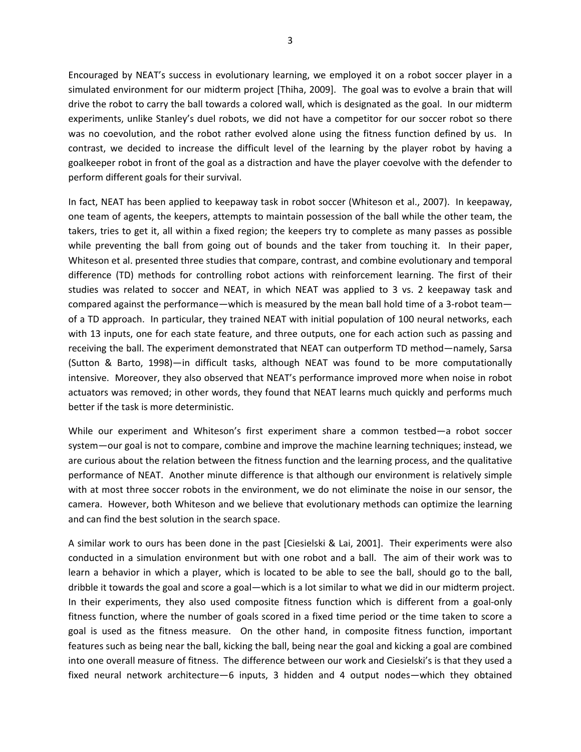Encouraged by NEAT's success in evolutionary learning, we employed it on a robot soccer player in a simulated environment for our midterm project [Thiha, 2009]. The goal was to evolve a brain that will drive the robot to carry the ball towards a colored wall, which is designated as the goal. In our midterm experiments, unlike Stanley's duel robots, we did not have a competitor for our soccer robot so there was no coevolution, and the robot rather evolved alone using the fitness function defined by us. In contrast, we decided to increase the difficult level of the learning by the player robot by having a goalkeeper robot in front of the goal as a distraction and have the player coevolve with the defender to perform different goals for their survival.

In fact, NEAT has been applied to keepaway task in robot soccer (Whiteson et al., 2007). In keepaway, one team of agents, the keepers, attempts to maintain possession of the ball while the other team, the takers, tries to get it, all within a fixed region; the keepers try to complete as many passes as possible while preventing the ball from going out of bounds and the taker from touching it. In their paper, Whiteson et al. presented three studies that compare, contrast, and combine evolutionary and temporal difference (TD) methods for controlling robot actions with reinforcement learning. The first of their studies was related to soccer and NEAT, in which NEAT was applied to 3 vs. 2 keepaway task and compared against the performance—which is measured by the mean ball hold time of a 3-robot team of a TD approach. In particular, they trained NEAT with initial population of 100 neural networks, each with 13 inputs, one for each state feature, and three outputs, one for each action such as passing and receiving the ball. The experiment demonstrated that NEAT can outperform TD method—namely, Sarsa (Sutton & Barto, 1998)—in difficult tasks, although NEAT was found to be more computationally intensive. Moreover, they also observed that NEAT's performance improved more when noise in robot actuators was removed; in other words, they found that NEAT learns much quickly and performs much better if the task is more deterministic.

While our experiment and Whiteson's first experiment share a common testbed—a robot soccer system—our goal is not to compare, combine and improve the machine learning techniques; instead, we are curious about the relation between the fitness function and the learning process, and the qualitative performance of NEAT. Another minute difference is that although our environment is relatively simple with at most three soccer robots in the environment, we do not eliminate the noise in our sensor, the camera. However, both Whiteson and we believe that evolutionary methods can optimize the learning and can find the best solution in the search space.

A similar work to ours has been done in the past [Ciesielski & Lai, 2001]. Their experiments were also conducted in a simulation environment but with one robot and a ball. The aim of their work was to learn a behavior in which a player, which is located to be able to see the ball, should go to the ball, dribble it towards the goal and score a goal—which is a lot similar to what we did in our midterm project. In their experiments, they also used composite fitness function which is different from a goal‐only fitness function, where the number of goals scored in a fixed time period or the time taken to score a goal is used as the fitness measure. On the other hand, in composite fitness function, important features such as being near the ball, kicking the ball, being near the goal and kicking a goal are combined into one overall measure of fitness. The difference between our work and Ciesielski's is that they used a fixed neural network architecture—6 inputs, 3 hidden and 4 output nodes—which they obtained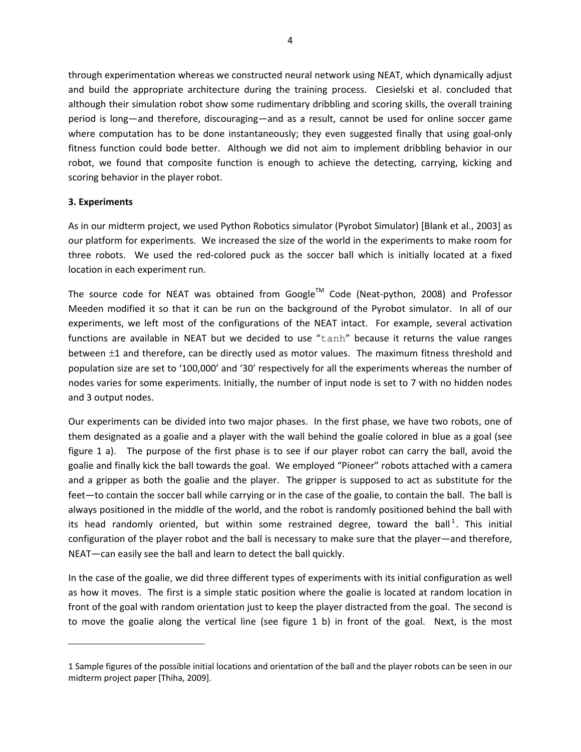through experimentation whereas we constructed neural network using NEAT, which dynamically adjust and build the appropriate architecture during the training process. Ciesielski et al. concluded that although their simulation robot show some rudimentary dribbling and scoring skills, the overall training period is long—and therefore, discouraging—and as a result, cannot be used for online soccer game where computation has to be done instantaneously; they even suggested finally that using goal-only fitness function could bode better. Although we did not aim to implement dribbling behavior in our robot, we found that composite function is enough to achieve the detecting, carrying, kicking and scoring behavior in the player robot.

### **3. Experiments**

As in our midterm project, we used Python Robotics simulator (Pyrobot Simulator) [Blank et al., 2003] as our platform for experiments. We increased the size of the world in the experiments to make room for three robots. We used the red-colored puck as the soccer ball which is initially located at a fixed location in each experiment run.

The source code for NEAT was obtained from Google™ Code (Neat-python, 2008) and Professor Meeden modified it so that it can be run on the background of the Pyrobot simulator. In all of our experiments, we left most of the configurations of the NEAT intact. For example, several activation functions are available in NEAT but we decided to use "tanh" because it returns the value ranges between ±1 and therefore, can be directly used as motor values. The maximum fitness threshold and population size are set to '100,000' and '30' respectively for all the experiments whereas the number of nodes varies for some experiments. Initially, the number of input node is set to 7 with no hidden nodes and 3 output nodes.

Our experiments can be divided into two major phases. In the first phase, we have two robots, one of them designated as a goalie and a player with the wall behind the goalie colored in blue as a goal (see figure 1 a). The purpose of the first phase is to see if our player robot can carry the ball, avoid the goalie and finally kick the ball towards the goal. We employed "Pioneer" robots attached with a camera and a gripper as both the goalie and the player. The gripper is supposed to act as substitute for the feet—to contain the soccer ball while carrying or in the case of the goalie, to contain the ball. The ball is always positioned in the middle of the world, and the robot is randomly positioned behind the ball with its head randomly oriented, but within some restrained degree, toward the ball<sup>1</sup>. This initial configuration of the player robot and the ball is necessary to make sure that the player—and therefore, NEAT—can easily see the ball and learn to detect the ball quickly.

In the case of the goalie, we did three different types of experiments with its initial configuration as well as how it moves. The first is a simple static position where the goalie is located at random location in front of the goal with random orientation just to keep the player distracted from the goal. The second is to move the goalie along the vertical line (see figure 1 b) in front of the goal. Next, is the most

<sup>1</sup> Sample figures of the possible initial locations and orientation of the ball and the player robots can be seen in our midterm project paper [Thiha, 2009].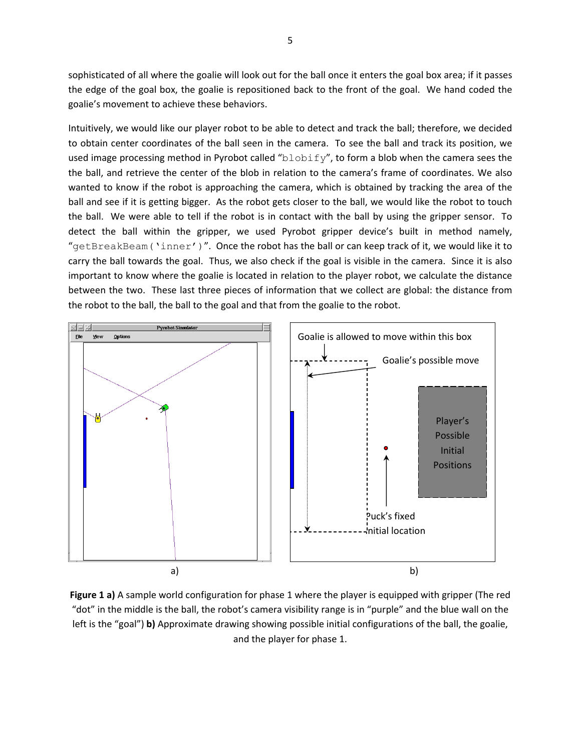sophisticated of all where the goalie will look out for the ball once it enters the goal box area; if it passes the edge of the goal box, the goalie is repositioned back to the front of the goal. We hand coded the goalie's movement to achieve these behaviors.

Intuitively, we would like our player robot to be able to detect and track the ball; therefore, we decided to obtain center coordinates of the ball seen in the camera. To see the ball and track its position, we used image processing method in Pyrobot called " $b$ lobify", to form a blob when the camera sees the the ball, and retrieve the center of the blob in relation to the camera's frame of coordinates. We also wanted to know if the robot is approaching the camera, which is obtained by tracking the area of the ball and see if it is getting bigger. As the robot gets closer to the ball, we would like the robot to touch the ball. We were able to tell if the robot is in contact with the ball by using the gripper sensor. To detect the ball within the gripper, we used Pyrobot gripper device's built in method namely, "getBreakBeam('inner')". Once the robot has the ball or can keep track of it, we would like it to carry the ball towards the goal. Thus, we also check if the goal is visible in the camera. Since it is also important to know where the goalie is located in relation to the player robot, we calculate the distance between the two. These last three pieces of information that we collect are global: the distance from the robot to the ball, the ball to the goal and that from the goalie to the robot.



**Figure 1 a)** A sample world configuration for phase 1 where the player is equipped with gripper (The red "dot" in the middle is the ball, the robot's camera visibility range is in "purple" and the blue wall on the left is the "goal") **b)** Approximate drawing showing possible initial configurations of the ball, the goalie, and the player for phase 1.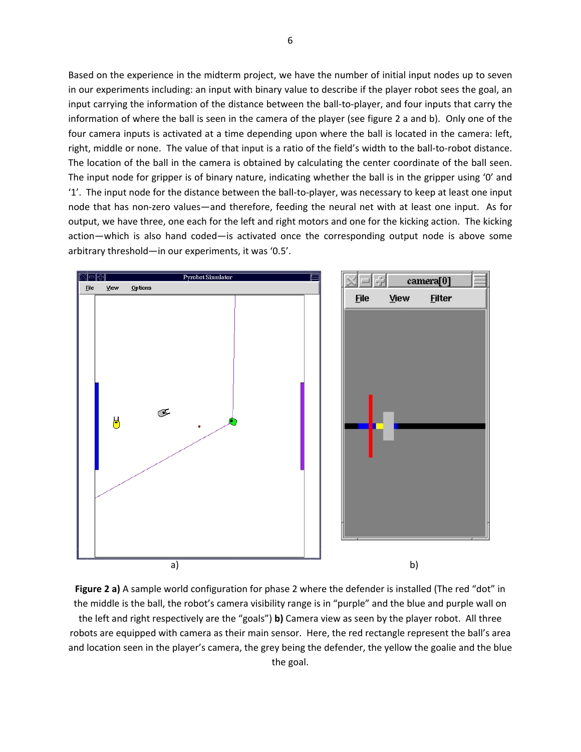Based on the experience in the midterm project, we have the number of initial input nodes up to seven in our experiments including: an input with binary value to describe if the player robot sees the goal, an input carrying the information of the distance between the ball‐to‐player, and four inputs that carry the information of where the ball is seen in the camera of the player (see figure 2 a and b). Only one of the four camera inputs is activated at a time depending upon where the ball is located in the camera: left, right, middle or none. The value of that input is a ratio of the field's width to the ball‐to‐robot distance. The location of the ball in the camera is obtained by calculating the center coordinate of the ball seen. The input node for gripper is of binary nature, indicating whether the ball is in the gripper using '0' and '1'. The input node for the distance between the ball‐to‐player, was necessary to keep at least one input node that has non‐zero values—and therefore, feeding the neural net with at least one input. As for output, we have three, one each for the left and right motors and one for the kicking action. The kicking action—which is also hand coded—is activated once the corresponding output node is above some arbitrary threshold—in our experiments, it was '0.5'.



**Figure 2 a)** A sample world configuration for phase 2 where the defender is installed (The red "dot" in the middle is the ball, the robot's camera visibility range is in "purple" and the blue and purple wall on the left and right respectively are the "goals") **b)** Camera view as seen by the player robot. All three robots are equipped with camera as their main sensor. Here, the red rectangle represent the ball's area and location seen in the player's camera, the grey being the defender, the yellow the goalie and the blue the goal.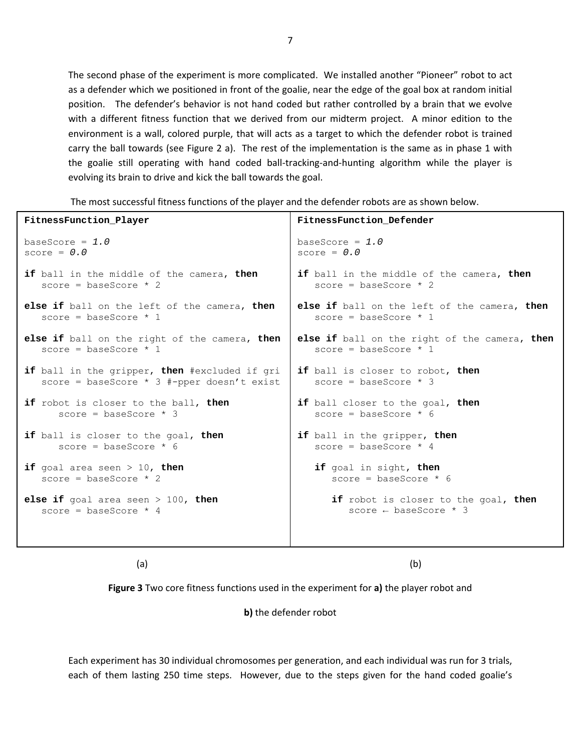The second phase of the experiment is more complicated. We installed another "Pioneer" robot to act as a defender which we positioned in front of the goalie, near the edge of the goal box at random initial position. The defender's behavior is not hand coded but rather controlled by a brain that we evolve with a different fitness function that we derived from our midterm project. A minor edition to the environment is a wall, colored purple, that will acts as a target to which the defender robot is trained carry the ball towards (see Figure 2 a). The rest of the implementation is the same as in phase 1 with the goalie still operating with hand coded ball-tracking-and-hunting algorithm while the player is evolving its brain to drive and kick the ball towards the goal.

The most successful fitness functions of the player and the defender robots are as shown below.

| FitnessFunction_Player                        | FitnessFunction Defender                      |
|-----------------------------------------------|-----------------------------------------------|
| baseScore = $1.0$                             | baseScore = $1.0$                             |
| score = $0.0$                                 | score = $0.0$                                 |
| if ball in the middle of the camera, then     | if ball in the middle of the camera, then     |
| score = baseScore $*$ 2                       | score = baseScore $*$ 2                       |
| else if ball on the left of the camera, then  | else if ball on the left of the camera, then  |
| score = baseScore $*1$                        | score = baseScore $*1$                        |
| else if ball on the right of the camera, then | else if ball on the right of the camera, then |
| score = baseScore $*1$                        | score = baseScore $*1$                        |
| if ball in the gripper, then #excluded if gri | if ball is closer to robot, then              |
| score = baseScore $*$ 3 #-pper doesn't exist  | score = baseScore $*$ 3                       |
| if robot is closer to the ball, then          | if ball closer to the goal, then              |
| score = baseScore $*$ 3                       | score = baseScore $*$ 6                       |
| if ball is closer to the goal, then           | if ball in the gripper, then                  |
| score = baseScore $*$ 6                       | score = baseScore $*$ 4                       |
| if goal area seen $> 10$ , then               | if goal in sight, then                        |
| score = baseScore $*$ 2                       | score = baseScore $*$ 6                       |
| <b>else if</b> goal area seen $>$ 100, then   | if robot is closer to the goal, then          |
| score = baseScore $*$ 4                       | score $\leftarrow$ baseScore $*$ 3            |
|                                               |                                               |

 (a) (b)

**Figure 3** Two core fitness functions used in the experiment for **a)** the player robot and

**b)** the defender robot

Each experiment has 30 individual chromosomes per generation, and each individual was run for 3 trials, each of them lasting 250 time steps. However, due to the steps given for the hand coded goalie's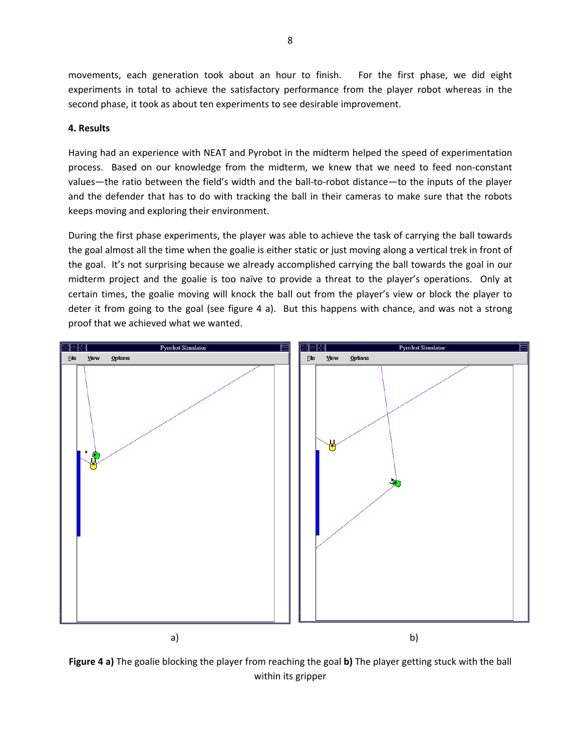movements, each generation took about an hour to finish. For the first phase, we did eight experiments in total to achieve the satisfactory performance from the player robot whereas in the second phase, it took as about ten experiments to see desirable improvement.

### **4. Results**

Having had an experience with NEAT and Pyrobot in the midterm helped the speed of experimentation process. Based on our knowledge from the midterm, we knew that we need to feed non-constant values—the ratio between the field's width and the ball‐to‐robot distance—to the inputs of the player and the defender that has to do with tracking the ball in their cameras to make sure that the robots keeps moving and exploring their environment.

During the first phase experiments, the player was able to achieve the task of carrying the ball towards the goal almost all the time when the goalie is either static or just moving along a vertical trek in front of the goal. It's not surprising because we already accomplished carrying the ball towards the goal in our midterm project and the goalie is too naïve to provide a threat to the player's operations. Only at certain times, the goalie moving will knock the ball out from the player's view or block the player to deter it from going to the goal (see figure 4 a). But this happens with chance, and was not a strong proof that we achieved what we wanted.



**Figure 4 a)** The goalie blocking the player from reaching the goal **b)** The player getting stuck with the ball within its gripper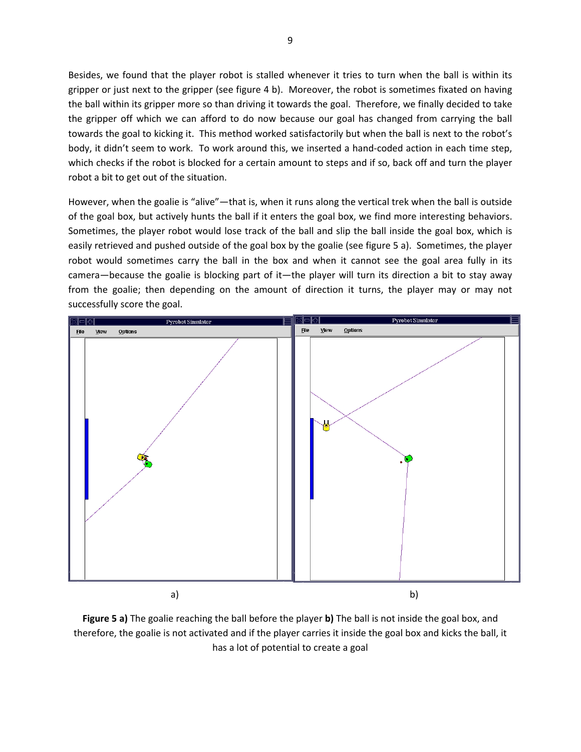Besides, we found that the player robot is stalled whenever it tries to turn when the ball is within its gripper or just next to the gripper (see figure 4 b). Moreover, the robot is sometimes fixated on having the ball within its gripper more so than driving it towards the goal. Therefore, we finally decided to take the gripper off which we can afford to do now because our goal has changed from carrying the ball towards the goal to kicking it. This method worked satisfactorily but when the ball is next to the robot's body, it didn't seem to work. To work around this, we inserted a hand-coded action in each time step, which checks if the robot is blocked for a certain amount to steps and if so, back off and turn the player robot a bit to get out of the situation.

However, when the goalie is "alive"—that is, when it runs along the vertical trek when the ball is outside of the goal box, but actively hunts the ball if it enters the goal box, we find more interesting behaviors. Sometimes, the player robot would lose track of the ball and slip the ball inside the goal box, which is easily retrieved and pushed outside of the goal box by the goalie (see figure 5 a). Sometimes, the player robot would sometimes carry the ball in the box and when it cannot see the goal area fully in its camera—because the goalie is blocking part of it—the player will turn its direction a bit to stay away from the goalie; then depending on the amount of direction it turns, the player may or may not successfully score the goal.



**Figure 5 a)** The goalie reaching the ball before the player **b)** The ball is not inside the goal box, and therefore, the goalie is not activated and if the player carries it inside the goal box and kicks the ball, it has a lot of potential to create a goal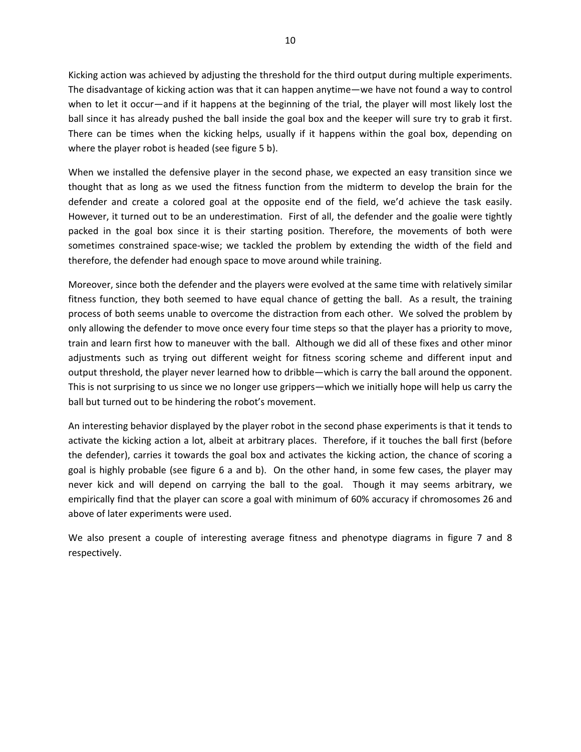Kicking action was achieved by adjusting the threshold for the third output during multiple experiments. The disadvantage of kicking action was that it can happen anytime—we have not found a way to control when to let it occur—and if it happens at the beginning of the trial, the player will most likely lost the ball since it has already pushed the ball inside the goal box and the keeper will sure try to grab it first. There can be times when the kicking helps, usually if it happens within the goal box, depending on where the player robot is headed (see figure 5 b).

When we installed the defensive player in the second phase, we expected an easy transition since we thought that as long as we used the fitness function from the midterm to develop the brain for the defender and create a colored goal at the opposite end of the field, we'd achieve the task easily. However, it turned out to be an underestimation. First of all, the defender and the goalie were tightly packed in the goal box since it is their starting position. Therefore, the movements of both were sometimes constrained space-wise; we tackled the problem by extending the width of the field and therefore, the defender had enough space to move around while training.

Moreover, since both the defender and the players were evolved at the same time with relatively similar fitness function, they both seemed to have equal chance of getting the ball. As a result, the training process of both seems unable to overcome the distraction from each other. We solved the problem by only allowing the defender to move once every four time steps so that the player has a priority to move, train and learn first how to maneuver with the ball. Although we did all of these fixes and other minor adjustments such as trying out different weight for fitness scoring scheme and different input and output threshold, the player never learned how to dribble—which is carry the ball around the opponent. This is not surprising to us since we no longer use grippers—which we initially hope will help us carry the ball but turned out to be hindering the robot's movement.

An interesting behavior displayed by the player robot in the second phase experiments is that it tends to activate the kicking action a lot, albeit at arbitrary places. Therefore, if it touches the ball first (before the defender), carries it towards the goal box and activates the kicking action, the chance of scoring a goal is highly probable (see figure 6 a and b). On the other hand, in some few cases, the player may never kick and will depend on carrying the ball to the goal. Though it may seems arbitrary, we empirically find that the player can score a goal with minimum of 60% accuracy if chromosomes 26 and above of later experiments were used.

We also present a couple of interesting average fitness and phenotype diagrams in figure 7 and 8 respectively.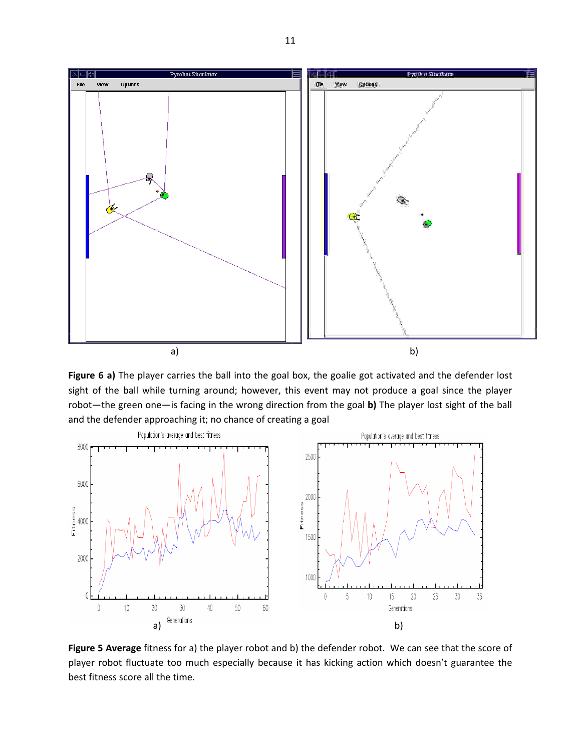

**Figure 6 a)** The player carries the ball into the goal box, the goalie got activated and the defender lost sight of the ball while turning around; however, this event may not produce a goal since the player robot—the green one—is facing in the wrong direction from the goal **b)** The player lost sight of the ball and the defender approaching it; no chance of creating a goal



**Figure 5 Average** fitness for a) the player robot and b) the defender robot. We can see that the score of player robot fluctuate too much especially because it has kicking action which doesn't guarantee the best fitness score all the time.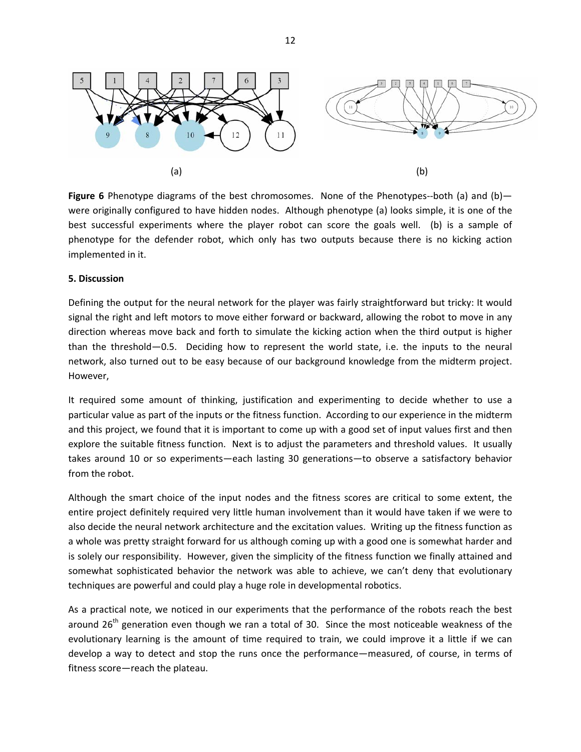

**Figure 6** Phenotype diagrams of the best chromosomes. None of the Phenotypes--both (a) and (b) were originally configured to have hidden nodes. Although phenotype (a) looks simple, it is one of the best successful experiments where the player robot can score the goals well. (b) is a sample of phenotype for the defender robot, which only has two outputs because there is no kicking action implemented in it.

#### **5. Discussion**

Defining the output for the neural network for the player was fairly straightforward but tricky: It would signal the right and left motors to move either forward or backward, allowing the robot to move in any direction whereas move back and forth to simulate the kicking action when the third output is higher than the threshold—0.5. Deciding how to represent the world state, i.e. the inputs to the neural network, also turned out to be easy because of our background knowledge from the midterm project. However,

It required some amount of thinking, justification and experimenting to decide whether to use a particular value as part of the inputs or the fitness function. According to our experience in the midterm and this project, we found that it is important to come up with a good set of input values first and then explore the suitable fitness function. Next is to adjust the parameters and threshold values. It usually takes around 10 or so experiments—each lasting 30 generations—to observe a satisfactory behavior from the robot.

Although the smart choice of the input nodes and the fitness scores are critical to some extent, the entire project definitely required very little human involvement than it would have taken if we were to also decide the neural network architecture and the excitation values. Writing up the fitness function as a whole was pretty straight forward for us although coming up with a good one is somewhat harder and is solely our responsibility. However, given the simplicity of the fitness function we finally attained and somewhat sophisticated behavior the network was able to achieve, we can't deny that evolutionary techniques are powerful and could play a huge role in developmental robotics.

As a practical note, we noticed in our experiments that the performance of the robots reach the best around 26<sup>th</sup> generation even though we ran a total of 30. Since the most noticeable weakness of the evolutionary learning is the amount of time required to train, we could improve it a little if we can develop a way to detect and stop the runs once the performance—measured, of course, in terms of fitness score—reach the plateau.